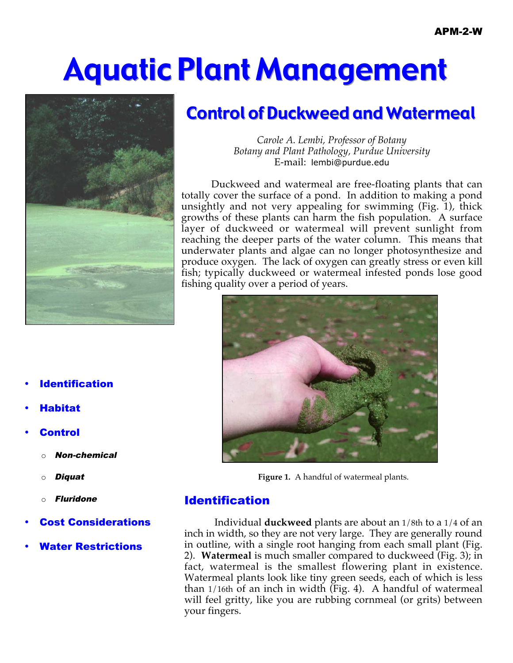# Aquatic Plant Management



## **Control of Duckweed and Watermeal**

*Carole A. Lembi, Professor of Botany Botany and Plant Pathology, Purdue University* E-mail: lembi@purdue.edu

Duckweed and watermeal are free-floating plants that can totally cover the surface of a pond. In addition to making a pond unsightly and not very appealing for swimming (Fig. 1), thick growths of these plants can harm the fish population. A surface layer of duckweed or watermeal will prevent sunlight from reaching the deeper parts of the water column. This means that underwater plants and algae can no longer photosynthesize and produce oxygen. The lack of oxygen can greatly stress or even kill fish; typically duckweed or watermeal infested ponds lose good fishing quality over a period of years.



**Figure 1.** A handful of watermeal plants.

## Identification

Individual **duckweed** plants are about an 1/8th to a 1/4 of an inch in width, so they are not very large. They are generally round in outline, with a single root hanging from each small plant (Fig. 2). **Watermeal** is much smaller compared to duckweed (Fig. 3); in fact, watermeal is the smallest flowering plant in existence. Watermeal plants look like tiny green seeds, each of which is less than 1/16th of an inch in width (Fig. 4). A handful of watermeal will feel gritty, like you are rubbing cornmeal (or grits) between your fingers.

- **Identification**
- [Habitat](#page-1-0)
- **[Control](#page-2-0)** 
	- **Non-chemical**
	- o [Diquat](#page-2-0)
	- **[Fluridone](#page-3-0)**
- **[Cost Considerations](#page-4-0)**
- [Water Restrictions](#page-4-0)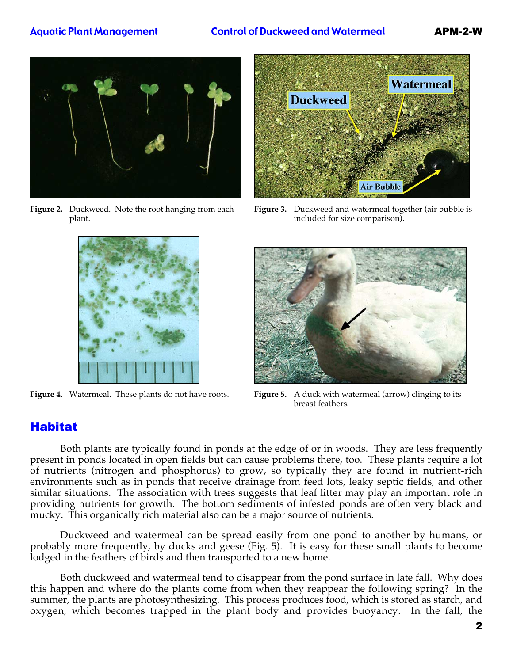#### Aquatic Plant Management Control of Duckweed and Watermeal APM-2-W

<span id="page-1-0"></span>

**Figure 2.** Duckweed. Note the root hanging from each plant.



**Figure 3.** Duckweed and watermeal together (air bubble is included for size comparison).





**Figure 4.** Watermeal. These plants do not have roots. **Figure 5.** A duck with watermeal (arrow) clinging to its breast feathers.

## Habitat

Both plants are typically found in ponds at the edge of or in woods. They are less frequently present in ponds located in open fields but can cause problems there, too. These plants require a lot of nutrients (nitrogen and phosphorus) to grow, so typically they are found in nutrient-rich environments such as in ponds that receive drainage from feed lots, leaky septic fields, and other similar situations. The association with trees suggests that leaf litter may play an important role in providing nutrients for growth. The bottom sediments of infested ponds are often very black and mucky. This organically rich material also can be a major source of nutrients.

Duckweed and watermeal can be spread easily from one pond to another by humans, or probably more frequently, by ducks and geese (Fig. 5). It is easy for these small plants to become lodged in the feathers of birds and then transported to a new home.

Both duckweed and watermeal tend to disappear from the pond surface in late fall. Why does this happen and where do the plants come from when they reappear the following spring? In the summer, the plants are photosynthesizing. This process produces food, which is stored as starch, and oxygen, which becomes trapped in the plant body and provides buoyancy. In the fall, the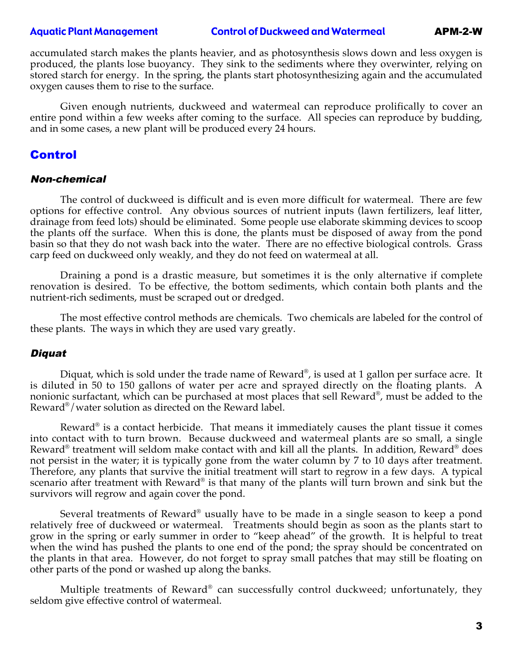#### <span id="page-2-0"></span>Aquatic Plant Management Control of Duckweed and Watermeal APM-2-W

accumulated starch makes the plants heavier, and as photosynthesis slows down and less oxygen is produced, the plants lose buoyancy. They sink to the sediments where they overwinter, relying on stored starch for energy. In the spring, the plants start photosynthesizing again and the accumulated oxygen causes them to rise to the surface.

Given enough nutrients, duckweed and watermeal can reproduce prolifically to cover an entire pond within a few weeks after coming to the surface. All species can reproduce by budding, and in some cases, a new plant will be produced every 24 hours.

#### Control

#### Non-chemical

The control of duckweed is difficult and is even more difficult for watermeal. There are few options for effective control. Any obvious sources of nutrient inputs (lawn fertilizers, leaf litter, drainage from feed lots) should be eliminated. Some people use elaborate skimming devices to scoop the plants off the surface. When this is done, the plants must be disposed of away from the pond basin so that they do not wash back into the water. There are no effective biological controls. Grass carp feed on duckweed only weakly, and they do not feed on watermeal at all.

Draining a pond is a drastic measure, but sometimes it is the only alternative if complete renovation is desired. To be effective, the bottom sediments, which contain both plants and the nutrient-rich sediments, must be scraped out or dredged.

The most effective control methods are chemicals. Two chemicals are labeled for the control of these plants. The ways in which they are used vary greatly.

#### Diquat

Diquat, which is sold under the trade name of Reward<sup>®</sup>, is used at 1 gallon per surface acre. It is diluted in 50 to 150 gallons of water per acre and sprayed directly on the floating plants. A nonionic surfactant, which can be purchased at most places that sell Reward®, must be added to the Reward®/water solution as directed on the Reward label.

Reward<sup>®</sup> is a contact herbicide. That means it immediately causes the plant tissue it comes into contact with to turn brown. Because duckweed and watermeal plants are so small, a single Reward<sup>®</sup> treatment will seldom make contact with and kill all the plants. In addition, Reward<sup>®</sup> does not persist in the water; it is typically gone from the water column by 7 to 10 days after treatment. Therefore, any plants that survive the initial treatment will start to regrow in a few days. A typical scenario after treatment with Reward<sup>®</sup> is that many of the plants will turn brown and sink but the survivors will regrow and again cover the pond.

Several treatments of Reward® usually have to be made in a single season to keep a pond relatively free of duckweed or watermeal. Treatments should begin as soon as the plants start to grow in the spring or early summer in order to "keep ahead" of the growth. It is helpful to treat when the wind has pushed the plants to one end of the pond; the spray should be concentrated on the plants in that area. However, do not forget to spray small patches that may still be floating on other parts of the pond or washed up along the banks.

Multiple treatments of Reward® can successfully control duckweed; unfortunately, they seldom give effective control of watermeal.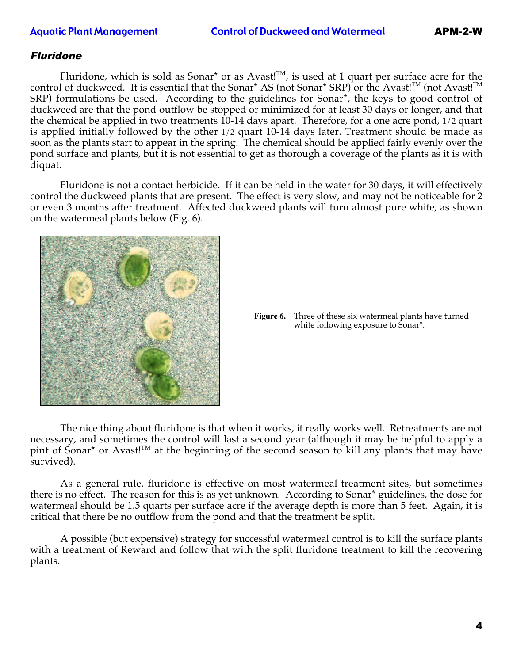#### <span id="page-3-0"></span>Aquatic Plant Management Control of Duckweed and Watermeal APM-2-W

#### Fluridone

Fluridone, which is sold as Sonar<sup>\*</sup> or as Avast!<sup>TM</sup>, is used at 1 quart per surface acre for the control of duckweed. It is essential that the Sonar\* AS (not Sonar\* SRP) or the Avast!<sup>TM</sup> (not Avast!<sup>TM</sup> SRP) formulations be used. According to the guidelines for Sonar\*, the keys to good control of duckweed are that the pond outflow be stopped or minimized for at least 30 days or longer, and that the chemical be applied in two treatments 10-14 days apart. Therefore, for a one acre pond, 1/2 quart is applied initially followed by the other 1/2 quart 10-14 days later. Treatment should be made as soon as the plants start to appear in the spring. The chemical should be applied fairly evenly over the pond surface and plants, but it is not essential to get as thorough a coverage of the plants as it is with diquat.

Fluridone is not a contact herbicide. If it can be held in the water for 30 days, it will effectively control the duckweed plants that are present. The effect is very slow, and may not be noticeable for 2 or even 3 months after treatment. Affected duckweed plants will turn almost pure white, as shown on the watermeal plants below (Fig. 6).



**Figure 6.** Three of these six watermeal plants have turned white following exposure to Sonar\*.

The nice thing about fluridone is that when it works, it really works well. Retreatments are not necessary, and sometimes the control will last a second year (although it may be helpful to apply a pint of Sonar<sup>\*</sup> or Avast!<sup>TM</sup> at the beginning of the second season to kill any plants that may have survived).

As a general rule, fluridone is effective on most watermeal treatment sites, but sometimes there is no effect. The reason for this is as yet unknown. According to Sonar\* guidelines, the dose for watermeal should be 1.5 quarts per surface acre if the average depth is more than 5 feet. Again, it is critical that there be no outflow from the pond and that the treatment be split.

A possible (but expensive) strategy for successful watermeal control is to kill the surface plants with a treatment of Reward and follow that with the split fluridone treatment to kill the recovering plants.